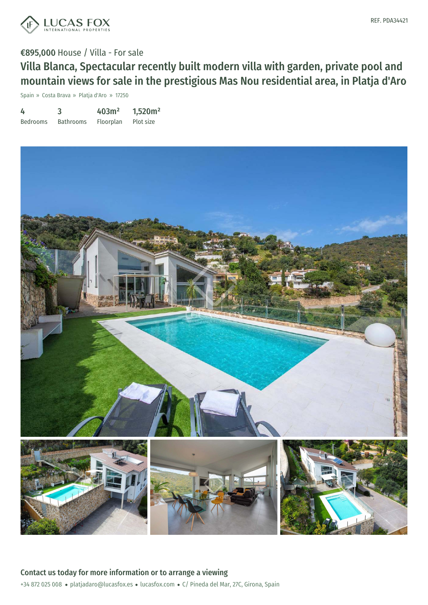

## €895,000 House / Villa - For sale

Villa Blanca, Spectacular recently built modern villa with garden, private pool and mountain views for sale in the prestigious Mas Nou residential area, in Platja d'Aro

Spain » Costa Brava » Platja d'Aro » 17250

| 4               |                  | 403m <sup>2</sup> | 1,520m <sup>2</sup> |
|-----------------|------------------|-------------------|---------------------|
| <b>Bedrooms</b> | <b>Bathrooms</b> | Floorplan         | Plot size           |

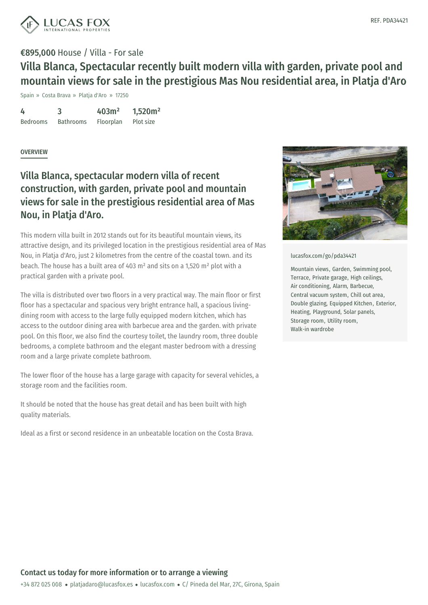

# €895,000 House / Villa - For sale Villa Blanca, Spectacular recently built modern villa with garden, private pool and mountain views for sale in the prestigious Mas Nou residential area, in Platja d'Aro

Spain » Costa Brava » Platja d'Aro » 17250

4 Bedrooms 3 Bathrooms 403m² Floorplan 1,520m² Plot size

### **OVERVIEW**

## Villa Blanca, spectacular modern villa of recent construction, with garden, private pool and mountain views for sale in the prestigious residential area of Mas Nou, in Platja d'Aro.

This modern villa built in 2012 stands out for its beautiful mountain views, its attractive design, and its privileged location in the prestigious residential area of Mas Nou, in Platja d'Aro, just 2 kilometres from the centre of the coastal town. and its beach. The house has a built area of 403 m² and sits on a 1,520 m² plot with a practical garden with a private pool.

The villa is distributed over two floors in a very practical way. The main floor or first floor has a spectacular and spacious very bright entrance hall, a spacious livingdining room with access to the large fully equipped modern kitchen, which has access to the outdoor dining area with barbecue area and the garden. with private pool. On this floor, we also find the courtesy toilet, the laundry room, three double bedrooms, a complete bathroom and the elegant master bedroom with a dressing room and a large private complete bathroom.

The lower floor of the house has a large garage with capacity for several vehicles, a storage room and the facilities room.

It should be noted that the house has great detail and has been built with high quality materials.

Ideal as a first or second [residence](mailto:platjadaro@lucasfox.es) in an [unbeatable](https://www.lucasfox.com) location on the Costa Brava.



#### [lucasfox.com/go/pda34421](https://www.lucasfox.com/go/pda34421)

Mountain views, Garden, Swimming pool, Terrace, Private garage, High ceilings, Air conditioning, Alarm, Barbecue, Central vacuum system, Chill out area, Double glazing, Equipped Kitchen, Exterior, Heating, Playground, Solar panels, Storage room, Utility room, Walk-in wardrobe